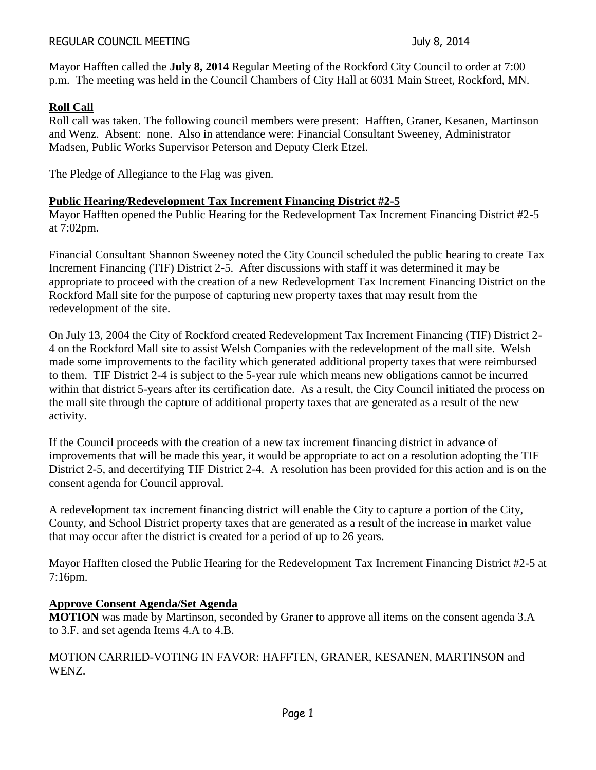#### REGULAR COUNCIL MEETING **Internal and Secure 2014** July 8, 2014

Mayor Hafften called the **July 8, 2014** Regular Meeting of the Rockford City Council to order at 7:00 p.m. The meeting was held in the Council Chambers of City Hall at 6031 Main Street, Rockford, MN.

# **Roll Call**

Roll call was taken. The following council members were present: Hafften, Graner, Kesanen, Martinson and Wenz. Absent: none. Also in attendance were: Financial Consultant Sweeney, Administrator Madsen, Public Works Supervisor Peterson and Deputy Clerk Etzel.

The Pledge of Allegiance to the Flag was given.

## **Public Hearing/Redevelopment Tax Increment Financing District #2-5**

Mayor Hafften opened the Public Hearing for the Redevelopment Tax Increment Financing District #2-5 at 7:02pm.

Financial Consultant Shannon Sweeney noted the City Council scheduled the public hearing to create Tax Increment Financing (TIF) District 2-5. After discussions with staff it was determined it may be appropriate to proceed with the creation of a new Redevelopment Tax Increment Financing District on the Rockford Mall site for the purpose of capturing new property taxes that may result from the redevelopment of the site.

On July 13, 2004 the City of Rockford created Redevelopment Tax Increment Financing (TIF) District 2- 4 on the Rockford Mall site to assist Welsh Companies with the redevelopment of the mall site. Welsh made some improvements to the facility which generated additional property taxes that were reimbursed to them. TIF District 2-4 is subject to the 5-year rule which means new obligations cannot be incurred within that district 5-years after its certification date. As a result, the City Council initiated the process on the mall site through the capture of additional property taxes that are generated as a result of the new activity.

If the Council proceeds with the creation of a new tax increment financing district in advance of improvements that will be made this year, it would be appropriate to act on a resolution adopting the TIF District 2-5, and decertifying TIF District 2-4. A resolution has been provided for this action and is on the consent agenda for Council approval.

A redevelopment tax increment financing district will enable the City to capture a portion of the City, County, and School District property taxes that are generated as a result of the increase in market value that may occur after the district is created for a period of up to 26 years.

Mayor Hafften closed the Public Hearing for the Redevelopment Tax Increment Financing District #2-5 at 7:16pm.

# **Approve Consent Agenda/Set Agenda**

**MOTION** was made by Martinson, seconded by Graner to approve all items on the consent agenda 3.A to 3.F. and set agenda Items 4.A to 4.B.

MOTION CARRIED-VOTING IN FAVOR: HAFFTEN, GRANER, KESANEN, MARTINSON and WENZ.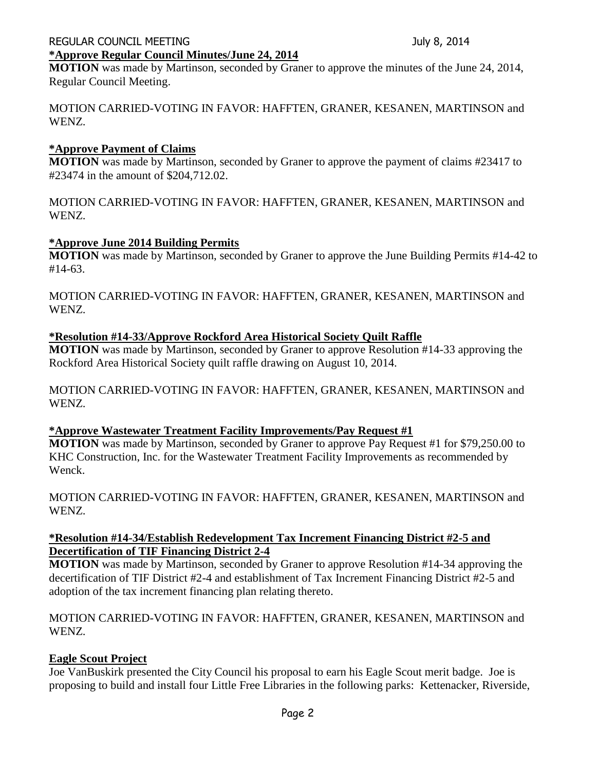#### REGULAR COUNCIL MEETING **Internal and Secure 2014** July 8, 2014 **\*Approve Regular Council Minutes/June 24, 2014**

**MOTION** was made by Martinson, seconded by Graner to approve the minutes of the June 24, 2014, Regular Council Meeting.

MOTION CARRIED-VOTING IN FAVOR: HAFFTEN, GRANER, KESANEN, MARTINSON and WENZ.

# **\*Approve Payment of Claims**

**MOTION** was made by Martinson, seconded by Graner to approve the payment of claims #23417 to #23474 in the amount of \$204,712.02.

MOTION CARRIED-VOTING IN FAVOR: HAFFTEN, GRANER, KESANEN, MARTINSON and WENZ.

# **\*Approve June 2014 Building Permits**

**MOTION** was made by Martinson, seconded by Graner to approve the June Building Permits #14-42 to #14-63.

MOTION CARRIED-VOTING IN FAVOR: HAFFTEN, GRANER, KESANEN, MARTINSON and WENZ.

# **\*Resolution #14-33/Approve Rockford Area Historical Society Quilt Raffle**

**MOTION** was made by Martinson, seconded by Graner to approve Resolution #14-33 approving the Rockford Area Historical Society quilt raffle drawing on August 10, 2014.

MOTION CARRIED-VOTING IN FAVOR: HAFFTEN, GRANER, KESANEN, MARTINSON and WENZ.

## **\*Approve Wastewater Treatment Facility Improvements/Pay Request #1**

**MOTION** was made by Martinson, seconded by Graner to approve Pay Request #1 for \$79,250.00 to KHC Construction, Inc. for the Wastewater Treatment Facility Improvements as recommended by Wenck.

MOTION CARRIED-VOTING IN FAVOR: HAFFTEN, GRANER, KESANEN, MARTINSON and WENZ.

#### **\*Resolution #14-34/Establish Redevelopment Tax Increment Financing District #2-5 and Decertification of TIF Financing District 2-4**

**MOTION** was made by Martinson, seconded by Graner to approve Resolution #14-34 approving the decertification of TIF District #2-4 and establishment of Tax Increment Financing District #2-5 and adoption of the tax increment financing plan relating thereto.

MOTION CARRIED-VOTING IN FAVOR: HAFFTEN, GRANER, KESANEN, MARTINSON and WENZ.

## **Eagle Scout Project**

Joe VanBuskirk presented the City Council his proposal to earn his Eagle Scout merit badge. Joe is proposing to build and install four Little Free Libraries in the following parks: Kettenacker, Riverside,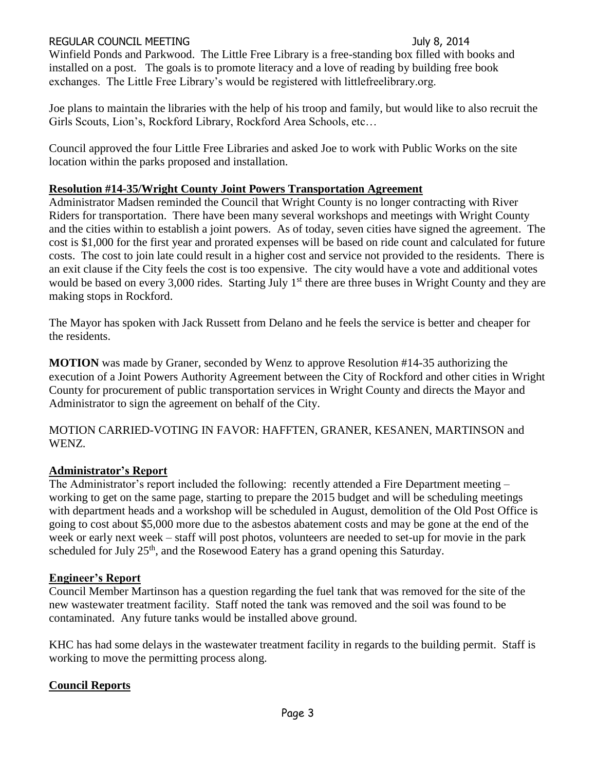#### REGULAR COUNCIL MEETING **SECULAR COUNCIL MEETING SECULAR July 8, 2014**

Winfield Ponds and Parkwood. The Little Free Library is a free-standing box filled with books and installed on a post. The goals is to promote literacy and a love of reading by building free book exchanges. The Little Free Library's would be registered with littlefreelibrary.org.

Joe plans to maintain the libraries with the help of his troop and family, but would like to also recruit the Girls Scouts, Lion's, Rockford Library, Rockford Area Schools, etc…

Council approved the four Little Free Libraries and asked Joe to work with Public Works on the site location within the parks proposed and installation.

#### **Resolution #14-35/Wright County Joint Powers Transportation Agreement**

Administrator Madsen reminded the Council that Wright County is no longer contracting with River Riders for transportation. There have been many several workshops and meetings with Wright County and the cities within to establish a joint powers. As of today, seven cities have signed the agreement. The cost is \$1,000 for the first year and prorated expenses will be based on ride count and calculated for future costs. The cost to join late could result in a higher cost and service not provided to the residents. There is an exit clause if the City feels the cost is too expensive. The city would have a vote and additional votes would be based on every 3,000 rides. Starting July 1<sup>st</sup> there are three buses in Wright County and they are making stops in Rockford.

The Mayor has spoken with Jack Russett from Delano and he feels the service is better and cheaper for the residents.

**MOTION** was made by Graner, seconded by Wenz to approve Resolution #14-35 authorizing the execution of a Joint Powers Authority Agreement between the City of Rockford and other cities in Wright County for procurement of public transportation services in Wright County and directs the Mayor and Administrator to sign the agreement on behalf of the City.

MOTION CARRIED-VOTING IN FAVOR: HAFFTEN, GRANER, KESANEN, MARTINSON and WENZ.

## **Administrator's Report**

The Administrator's report included the following: recently attended a Fire Department meeting – working to get on the same page, starting to prepare the 2015 budget and will be scheduling meetings with department heads and a workshop will be scheduled in August, demolition of the Old Post Office is going to cost about \$5,000 more due to the asbestos abatement costs and may be gone at the end of the week or early next week – staff will post photos, volunteers are needed to set-up for movie in the park scheduled for July  $25<sup>th</sup>$ , and the Rosewood Eatery has a grand opening this Saturday.

#### **Engineer's Report**

Council Member Martinson has a question regarding the fuel tank that was removed for the site of the new wastewater treatment facility. Staff noted the tank was removed and the soil was found to be contaminated. Any future tanks would be installed above ground.

KHC has had some delays in the wastewater treatment facility in regards to the building permit. Staff is working to move the permitting process along.

## **Council Reports**